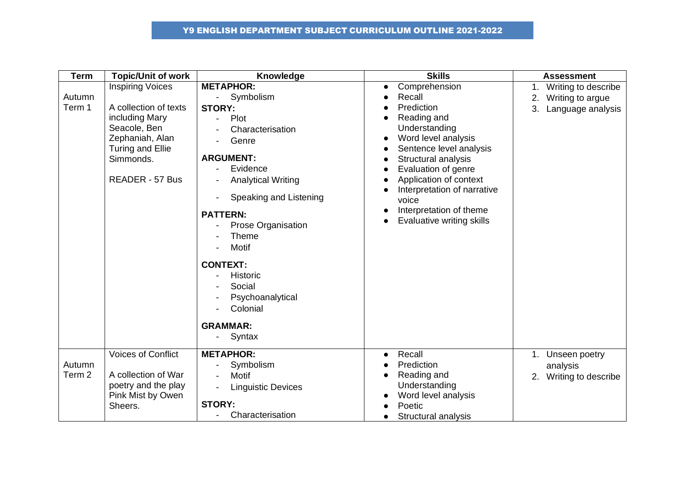| <b>Term</b>                 | <b>Topic/Unit of work</b>                                                                                                                                               | Knowledge                                                                                                                                                                                                                                                                                                                                                                        | <b>Skills</b>                                                                                                                                                                                                                                                                                                | <b>Assessment</b>                                                              |
|-----------------------------|-------------------------------------------------------------------------------------------------------------------------------------------------------------------------|----------------------------------------------------------------------------------------------------------------------------------------------------------------------------------------------------------------------------------------------------------------------------------------------------------------------------------------------------------------------------------|--------------------------------------------------------------------------------------------------------------------------------------------------------------------------------------------------------------------------------------------------------------------------------------------------------------|--------------------------------------------------------------------------------|
| Autumn<br>Term 1            | <b>Inspiring Voices</b><br>A collection of texts<br>including Mary<br>Seacole, Ben<br>Zephaniah, Alan<br><b>Turing and Ellie</b><br>Simmonds.<br><b>READER - 57 Bus</b> | <b>METAPHOR:</b><br>Symbolism<br>$\omega_{\rm{eff}}$<br><b>STORY:</b><br>Plot<br>Characterisation<br>Genre<br><b>ARGUMENT:</b><br>Evidence<br><b>Analytical Writing</b><br>Speaking and Listening<br><b>PATTERN:</b><br><b>Prose Organisation</b><br><b>Theme</b><br>Motif<br><b>CONTEXT:</b><br>Historic<br>Social<br>Psychoanalytical<br>Colonial<br><b>GRAMMAR:</b><br>Syntax | Comprehension<br>$\bullet$<br>Recall<br>Prediction<br>Reading and<br>Understanding<br>Word level analysis<br>Sentence level analysis<br>Structural analysis<br>Evaluation of genre<br>Application of context<br>Interpretation of narrative<br>voice<br>Interpretation of theme<br>Evaluative writing skills | Writing to describe<br>1.<br>Writing to argue<br>2.<br>Language analysis<br>3. |
| Autumn<br>Term <sub>2</sub> | <b>Voices of Conflict</b><br>A collection of War<br>poetry and the play<br>Pink Mist by Owen<br>Sheers.                                                                 | <b>METAPHOR:</b><br>Symbolism<br><b>Motif</b><br><b>Linguistic Devices</b><br><b>STORY:</b><br>Characterisation                                                                                                                                                                                                                                                                  | Recall<br>$\bullet$<br>Prediction<br>Reading and<br>Understanding<br>Word level analysis<br>Poetic<br>Structural analysis<br>$\bullet$                                                                                                                                                                       | Unseen poetry<br>1.<br>analysis<br>2. Writing to describe                      |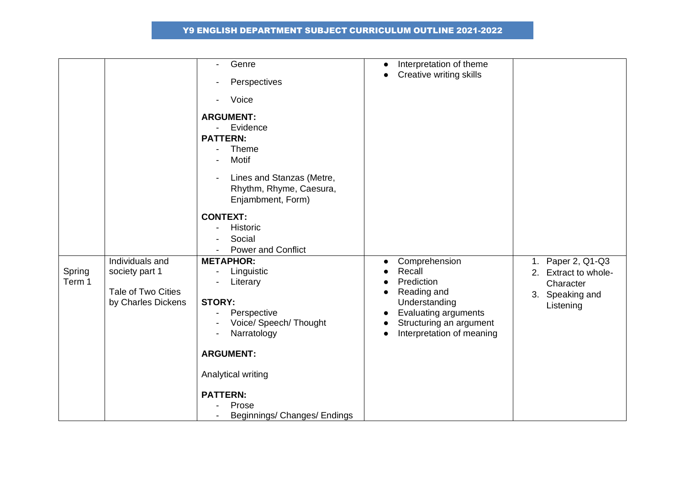|                  |                                                                               | Genre<br>$\overline{\phantom{0}}$<br>Perspectives<br>Voice<br><b>ARGUMENT:</b><br>Evidence<br><b>PATTERN:</b><br><b>Theme</b><br>Motif<br>Lines and Stanzas (Metre,                                                                                           | Interpretation of theme<br>$\bullet$<br>Creative writing skills<br>$\bullet$                                                                                                                        |                                                                                              |
|------------------|-------------------------------------------------------------------------------|---------------------------------------------------------------------------------------------------------------------------------------------------------------------------------------------------------------------------------------------------------------|-----------------------------------------------------------------------------------------------------------------------------------------------------------------------------------------------------|----------------------------------------------------------------------------------------------|
| Spring<br>Term 1 | Individuals and<br>society part 1<br>Tale of Two Cities<br>by Charles Dickens | Rhythm, Rhyme, Caesura,<br>Enjambment, Form)<br><b>CONTEXT:</b><br>Historic<br>Social<br><b>Power and Conflict</b><br><b>METAPHOR:</b><br>Linguistic<br>Literary<br><b>STORY:</b><br>Perspective<br>Voice/ Speech/ Thought<br>Narratology<br><b>ARGUMENT:</b> | Comprehension<br>$\bullet$<br>Recall<br>Prediction<br>Reading and<br>Understanding<br><b>Evaluating arguments</b><br>$\bullet$<br>Structuring an argument<br>Interpretation of meaning<br>$\bullet$ | Paper 2, Q1-Q3<br>1.<br>Extract to whole-<br>2.<br>Character<br>3. Speaking and<br>Listening |
|                  |                                                                               | Analytical writing<br><b>PATTERN:</b><br>Prose<br>Beginnings/ Changes/ Endings                                                                                                                                                                                |                                                                                                                                                                                                     |                                                                                              |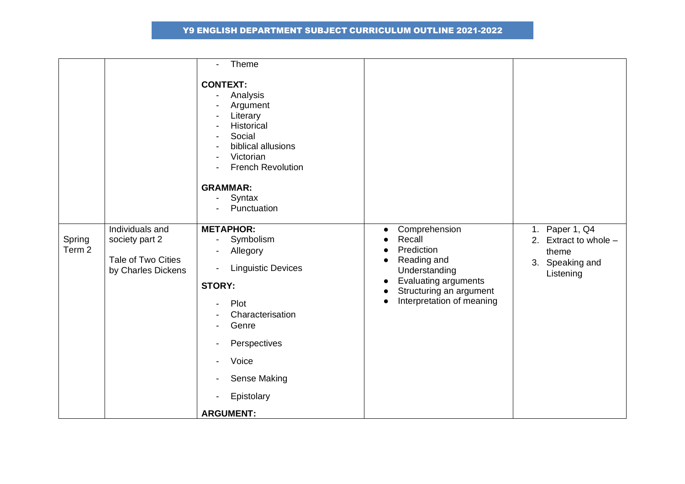|                             |                                                                               | Theme<br>$\blacksquare$                                                                                                                                                                                           |                                                                                                                                                                                                                                     |                                                                                    |
|-----------------------------|-------------------------------------------------------------------------------|-------------------------------------------------------------------------------------------------------------------------------------------------------------------------------------------------------------------|-------------------------------------------------------------------------------------------------------------------------------------------------------------------------------------------------------------------------------------|------------------------------------------------------------------------------------|
|                             |                                                                               | <b>CONTEXT:</b><br>Analysis<br>Argument<br>Literary<br>Historical<br>Social<br>biblical allusions<br>Victorian<br><b>French Revolution</b><br><b>GRAMMAR:</b><br>Syntax<br>Punctuation                            |                                                                                                                                                                                                                                     |                                                                                    |
| Spring<br>Term <sub>2</sub> | Individuals and<br>society part 2<br>Tale of Two Cities<br>by Charles Dickens | <b>METAPHOR:</b><br>Symbolism<br>$\sim$<br>Allegory<br><b>Linguistic Devices</b><br><b>STORY:</b><br>Plot<br>Characterisation<br>Genre<br>Perspectives<br>Voice<br>Sense Making<br>Epistolary<br><b>ARGUMENT:</b> | Comprehension<br>$\bullet$<br>Recall<br>$\bullet$<br>Prediction<br>$\bullet$<br>Reading and<br>$\bullet$<br>Understanding<br>Evaluating arguments<br>$\bullet$<br>Structuring an argument<br>$\bullet$<br>Interpretation of meaning | 1. Paper 1, Q4<br>2. Extract to whole $-$<br>theme<br>3. Speaking and<br>Listening |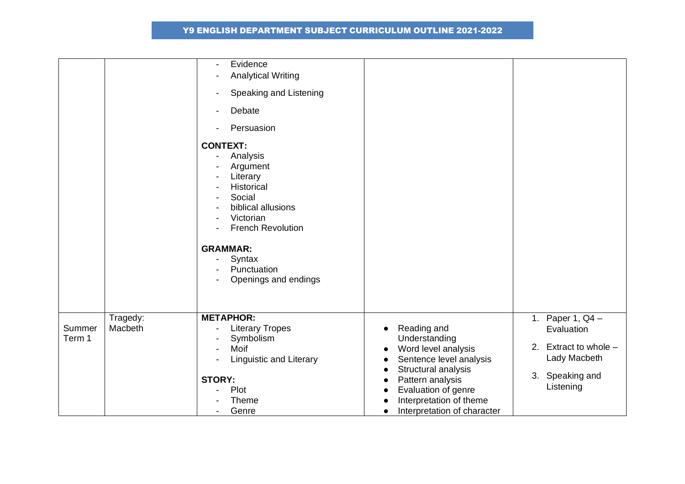|                  |                     | Evidence<br>$\overline{\phantom{a}}$<br><b>Analytical Writing</b><br>Speaking and Listening<br>$\blacksquare$<br>Debate<br>$\overline{\phantom{a}}$<br>Persuasion                                                                |                                                                                                                                                                                                                                                                |                                                                                                                |
|------------------|---------------------|----------------------------------------------------------------------------------------------------------------------------------------------------------------------------------------------------------------------------------|----------------------------------------------------------------------------------------------------------------------------------------------------------------------------------------------------------------------------------------------------------------|----------------------------------------------------------------------------------------------------------------|
|                  |                     | <b>CONTEXT:</b><br>Analysis<br>Argument<br>Literary<br>Historical<br>Social<br>biblical allusions<br>Victorian<br><b>French Revolution</b><br>$\blacksquare$<br><b>GRAMMAR:</b><br>Syntax<br>Punctuation<br>Openings and endings |                                                                                                                                                                                                                                                                |                                                                                                                |
| Summer<br>Term 1 | Tragedy:<br>Macbeth | <b>METAPHOR:</b><br><b>Literary Tropes</b><br>$\overline{\phantom{a}}$<br>Symbolism<br>Moif<br><b>Linguistic and Literary</b><br><b>STORY:</b><br>Plot<br>Theme<br>Genre<br>$\overline{\phantom{a}}$                             | Reading and<br>$\bullet$<br>Understanding<br>Word level analysis<br>$\bullet$<br>Sentence level analysis<br>Structural analysis<br>$\bullet$<br>Pattern analysis<br>Evaluation of genre<br>Interpretation of theme<br>Interpretation of character<br>$\bullet$ | 1. Paper 1, $Q4 -$<br>Evaluation<br>2. Extract to whole $-$<br>Lady Macbeth<br>Speaking and<br>3.<br>Listening |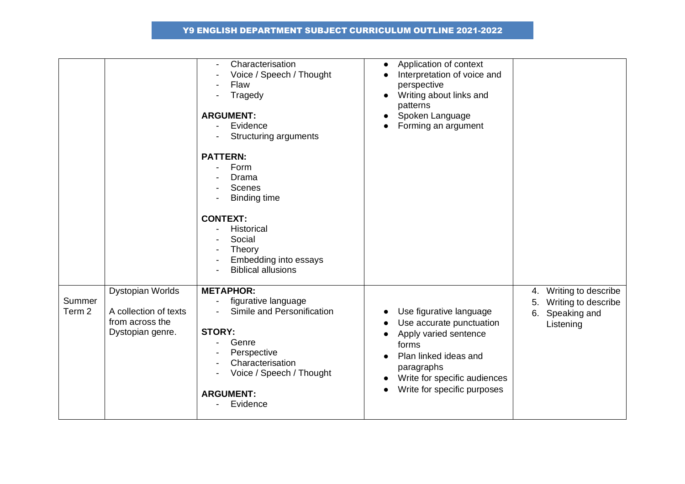|                  |                                                                                         | Characterisation<br>Voice / Speech / Thought<br>Flaw<br>Tragedy<br><b>ARGUMENT:</b><br>Evidence<br><b>Structuring arguments</b><br><b>PATTERN:</b><br>Form<br>Drama<br>Scenes<br><b>Binding time</b><br><b>CONTEXT:</b><br>Historical<br>$\overline{\phantom{a}}$<br>Social<br>Theory<br>Embedding into essays<br><b>Biblical allusions</b> | Application of context<br>$\bullet$<br>Interpretation of voice and<br>perspective<br>Writing about links and<br>patterns<br>Spoken Language<br>Forming an argument                                       |                                                                                           |
|------------------|-----------------------------------------------------------------------------------------|---------------------------------------------------------------------------------------------------------------------------------------------------------------------------------------------------------------------------------------------------------------------------------------------------------------------------------------------|----------------------------------------------------------------------------------------------------------------------------------------------------------------------------------------------------------|-------------------------------------------------------------------------------------------|
| Summer<br>Term 2 | <b>Dystopian Worlds</b><br>A collection of texts<br>from across the<br>Dystopian genre. | <b>METAPHOR:</b><br>figurative language<br>Simile and Personification<br>$\overline{\phantom{0}}$<br><b>STORY:</b><br>Genre<br>-<br>Perspective<br>Characterisation<br>Voice / Speech / Thought<br><b>ARGUMENT:</b><br>Evidence                                                                                                             | Use figurative language<br>Use accurate punctuation<br>Apply varied sentence<br>forms<br>Plan linked ideas and<br>paragraphs<br>Write for specific audiences<br>Write for specific purposes<br>$\bullet$ | Writing to describe<br>4.<br>Writing to describe<br>5.<br>Speaking and<br>6.<br>Listening |